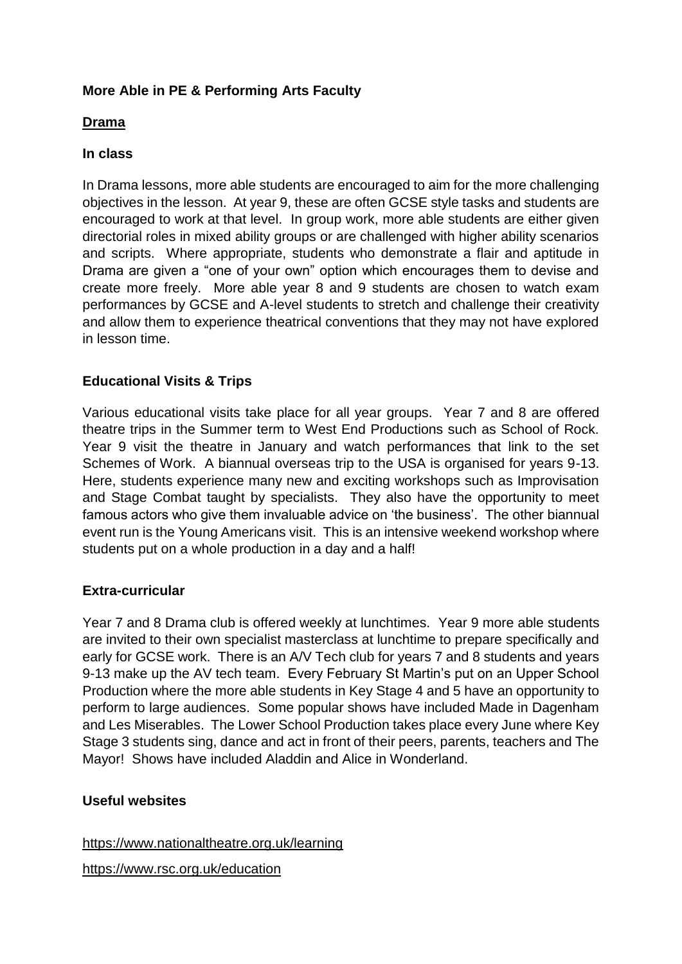# **More Able in PE & Performing Arts Faculty**

## **Drama**

## **In class**

In Drama lessons, more able students are encouraged to aim for the more challenging objectives in the lesson. At year 9, these are often GCSE style tasks and students are encouraged to work at that level. In group work, more able students are either given directorial roles in mixed ability groups or are challenged with higher ability scenarios and scripts. Where appropriate, students who demonstrate a flair and aptitude in Drama are given a "one of your own" option which encourages them to devise and create more freely. More able year 8 and 9 students are chosen to watch exam performances by GCSE and A-level students to stretch and challenge their creativity and allow them to experience theatrical conventions that they may not have explored in lesson time.

# **Educational Visits & Trips**

Various educational visits take place for all year groups. Year 7 and 8 are offered theatre trips in the Summer term to West End Productions such as School of Rock. Year 9 visit the theatre in January and watch performances that link to the set Schemes of Work. A biannual overseas trip to the USA is organised for years 9-13. Here, students experience many new and exciting workshops such as Improvisation and Stage Combat taught by specialists. They also have the opportunity to meet famous actors who give them invaluable advice on 'the business'. The other biannual event run is the Young Americans visit. This is an intensive weekend workshop where students put on a whole production in a day and a half!

# **Extra-curricular**

Year 7 and 8 Drama club is offered weekly at lunchtimes. Year 9 more able students are invited to their own specialist masterclass at lunchtime to prepare specifically and early for GCSE work. There is an A/V Tech club for years 7 and 8 students and years 9-13 make up the AV tech team. Every February St Martin's put on an Upper School Production where the more able students in Key Stage 4 and 5 have an opportunity to perform to large audiences. Some popular shows have included Made in Dagenham and Les Miserables. The Lower School Production takes place every June where Key Stage 3 students sing, dance and act in front of their peers, parents, teachers and The Mayor! Shows have included Aladdin and Alice in Wonderland.

# **Useful websites**

<https://www.nationaltheatre.org.uk/learning>

<https://www.rsc.org.uk/education>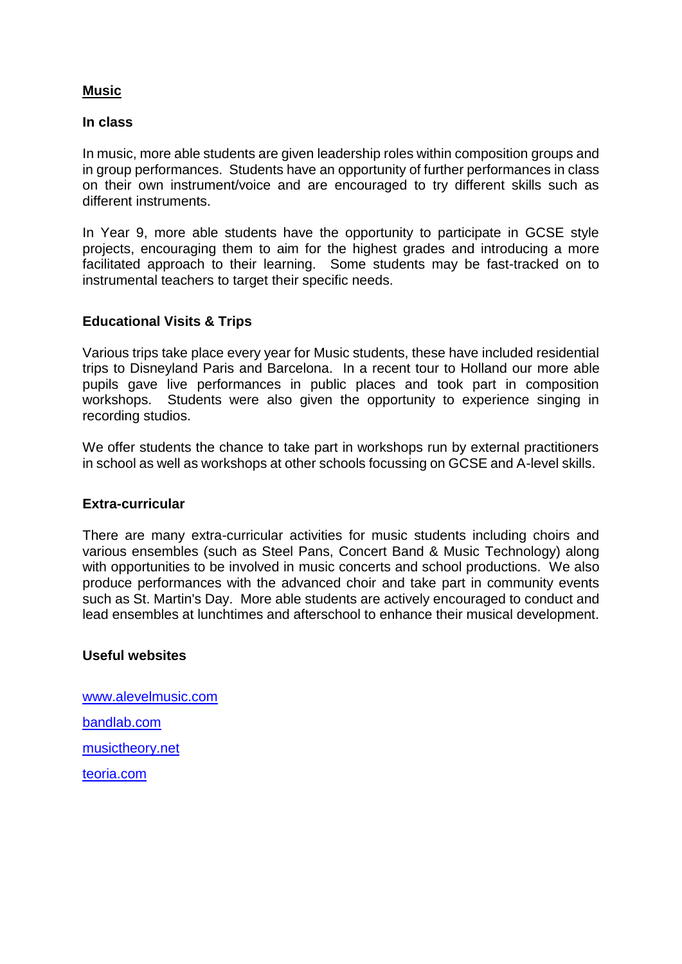## **Music**

#### **In class**

In music, more able students are given leadership roles within composition groups and in group performances. Students have an opportunity of further performances in class on their own instrument/voice and are encouraged to try different skills such as different instruments.

In Year 9, more able students have the opportunity to participate in GCSE style projects, encouraging them to aim for the highest grades and introducing a more facilitated approach to their learning. Some students may be fast-tracked on to instrumental teachers to target their specific needs.

## **Educational Visits & Trips**

Various trips take place every year for Music students, these have included residential trips to Disneyland Paris and Barcelona. In a recent tour to Holland our more able pupils gave live performances in public places and took part in composition workshops. Students were also given the opportunity to experience singing in recording studios.

We offer students the chance to take part in workshops run by external practitioners in school as well as workshops at other schools focussing on GCSE and A-level skills.

#### **Extra-curricular**

There are many extra-curricular activities for music students including choirs and various ensembles (such as Steel Pans, Concert Band & Music Technology) along with opportunities to be involved in music concerts and school productions. We also produce performances with the advanced choir and take part in community events such as St. Martin's Day. More able students are actively encouraged to conduct and lead ensembles at lunchtimes and afterschool to enhance their musical development.

#### **Useful websites**

[www.alevelmusic.com](http://www.alevelmusic.com/) [bandlab.com](file://///stm-uss-02/lswan$/Most%20Able%202018/bandlab.com) musictheory.net teoria.com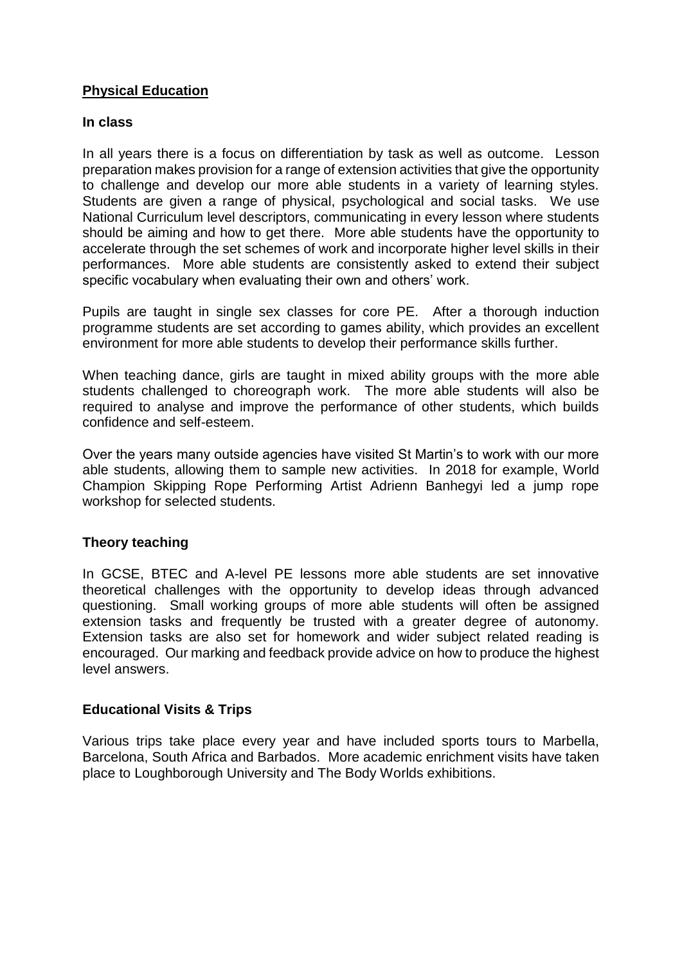## **Physical Education**

#### **In class**

In all years there is a focus on differentiation by task as well as outcome. Lesson preparation makes provision for a range of extension activities that give the opportunity to challenge and develop our more able students in a variety of learning styles. Students are given a range of physical, psychological and social tasks. We use National Curriculum level descriptors, communicating in every lesson where students should be aiming and how to get there. More able students have the opportunity to accelerate through the set schemes of work and incorporate higher level skills in their performances. More able students are consistently asked to extend their subject specific vocabulary when evaluating their own and others' work.

Pupils are taught in single sex classes for core PE. After a thorough induction programme students are set according to games ability, which provides an excellent environment for more able students to develop their performance skills further.

When teaching dance, girls are taught in mixed ability groups with the more able students challenged to choreograph work. The more able students will also be required to analyse and improve the performance of other students, which builds confidence and self-esteem.

Over the years many outside agencies have visited St Martin's to work with our more able students, allowing them to sample new activities. In 2018 for example, World Champion Skipping Rope Performing Artist Adrienn Banhegyi led a jump rope workshop for selected students.

## **Theory teaching**

In GCSE, BTEC and A-level PE lessons more able students are set innovative theoretical challenges with the opportunity to develop ideas through advanced questioning. Small working groups of more able students will often be assigned extension tasks and frequently be trusted with a greater degree of autonomy. Extension tasks are also set for homework and wider subject related reading is encouraged. Our marking and feedback provide advice on how to produce the highest level answers.

## **Educational Visits & Trips**

Various trips take place every year and have included sports tours to Marbella, Barcelona, South Africa and Barbados. More academic enrichment visits have taken place to Loughborough University and The Body Worlds exhibitions.